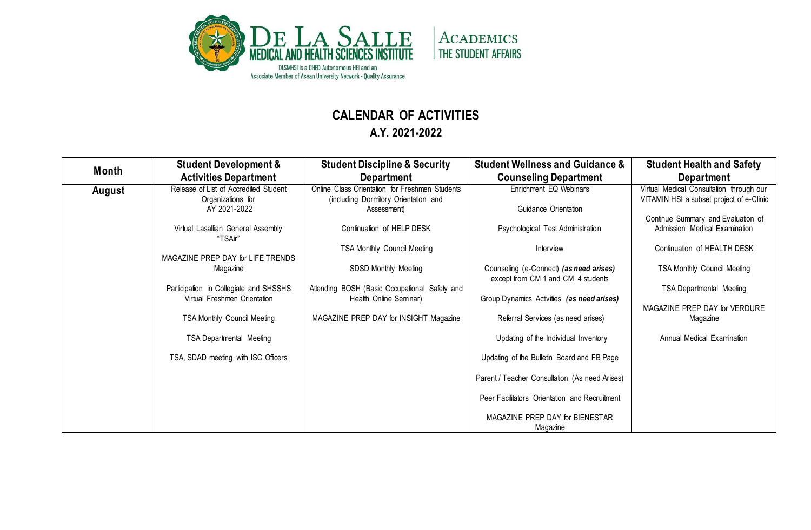

## **CALENDAR OF ACTIVITIES**

**A.Y. 2021-2022**

| <b>Month</b> | <b>Student Development &amp;</b><br><b>Activities Department</b>       | <b>Student Discipline &amp; Security</b><br><b>Department</b>                          | <b>Student Wellness and Guidance &amp;</b><br><b>Counseling Department</b>    | <b>Student Health and Safety</b><br>Department                                       |
|--------------|------------------------------------------------------------------------|----------------------------------------------------------------------------------------|-------------------------------------------------------------------------------|--------------------------------------------------------------------------------------|
| August       | Release of List of Accredited Student<br>Organizations for             | Online Class Orientation for Freshmen Students<br>(including Dormitory Orientation and | Enrichment EQ Webinars                                                        | Virtual Medical Consultation through our<br>VITAMIN HSI a subset project of e-Clinic |
|              | AY 2021-2022                                                           | Assessment)                                                                            | Guidance Orientation                                                          |                                                                                      |
|              | Virtual Lasallian General Assembly<br>"TSAir"                          | Continuation of HELP DESK                                                              | Psychological Test Administration                                             | Continue Summary and Evaluation of<br>Admission Medical Examination                  |
|              | MAGAZINE PREP DAY for LIFE TRENDS                                      | TSA Monthly Council Meeting                                                            | Interview                                                                     | Continuation of HEALTH DESK                                                          |
|              | Magazine                                                               | SDSD Monthly Meeting                                                                   | Counseling (e-Connect) (as need arises)<br>except from CM 1 and CM 4 students | <b>TSA Monthly Council Meeting</b>                                                   |
|              | Participation in Collegiate and SHSSHS<br>Virtual Freshmen Orientation | Attending BOSH (Basic Occupational Safety and<br>Health Online Seminar)                | Group Dynamics Activities (as need arises)                                    | <b>TSA Departmental Meeting</b>                                                      |
|              | <b>TSA Monthly Council Meeting</b>                                     | MAGAZINE PREP DAY for INSIGHT Magazine                                                 | Referral Services (as need arises)                                            | MAGAZINE PREP DAY for VERDURE<br>Magazine                                            |
|              | <b>TSA Departmental Meeting</b>                                        |                                                                                        | Updating of the Individual Inventory                                          | Annual Medical Examination                                                           |
|              | TSA, SDAD meeting with ISC Officers                                    |                                                                                        | Updating of the Bulletin Board and FB Page                                    |                                                                                      |
|              |                                                                        |                                                                                        | Parent / Teacher Consultation (As need Arises)                                |                                                                                      |
|              |                                                                        |                                                                                        | Peer Facilitators Orientation and Recruitment                                 |                                                                                      |
|              |                                                                        |                                                                                        | MAGAZINE PREP DAY for BIENESTAR<br>Magazine                                   |                                                                                      |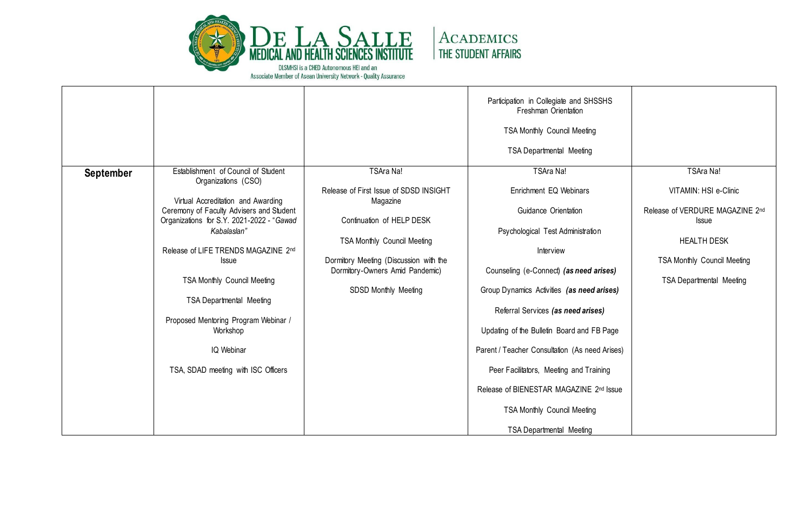

|           |                                                                                                                                                                                                                                                                                                                                                                                                                                            |                                                                                                                                                                                                                                         | Participation in Collegiate and SHSSHS<br>Freshman Orientation<br><b>TSA Monthly Council Meeting</b><br><b>TSA Departmental Meeting</b>                                                                                                                                                                                                                                                                                                                                  |                                                                                                                                                                                      |
|-----------|--------------------------------------------------------------------------------------------------------------------------------------------------------------------------------------------------------------------------------------------------------------------------------------------------------------------------------------------------------------------------------------------------------------------------------------------|-----------------------------------------------------------------------------------------------------------------------------------------------------------------------------------------------------------------------------------------|--------------------------------------------------------------------------------------------------------------------------------------------------------------------------------------------------------------------------------------------------------------------------------------------------------------------------------------------------------------------------------------------------------------------------------------------------------------------------|--------------------------------------------------------------------------------------------------------------------------------------------------------------------------------------|
| September | Establishment of Council of Student<br>Organizations (CSO)<br>Virtual Accreditation and Awarding<br>Ceremony of Faculty Advisers and Student<br>Organizations for S.Y. 2021-2022 - "Gawad<br>Kabalaslan"<br>Release of LIFE TRENDS MAGAZINE 2nd<br>Issue<br><b>TSA Monthly Council Meeting</b><br><b>TSA Departmental Meeting</b><br>Proposed Mentoring Program Webinar /<br>Workshop<br>IQ Webinar<br>TSA, SDAD meeting with ISC Officers | TSAra Na!<br>Release of First Issue of SDSD INSIGHT<br>Magazine<br>Continuation of HELP DESK<br><b>TSA Monthly Council Meeting</b><br>Dormitory Meeting (Discussion with the<br>Dormitory-Owners Amid Pandemic)<br>SDSD Monthly Meeting | TSAra Na!<br>Enrichment EQ Webinars<br>Guidance Orientation<br>Psychological Test Administration<br>Interview<br>Counseling (e-Connect) (as need arises)<br>Group Dynamics Activities (as need arises)<br>Referral Services (as need arises)<br>Updating of the Bulletin Board and FB Page<br>Parent / Teacher Consultation (As need Arises)<br>Peer Facilitators, Meeting and Training<br>Release of BIENESTAR MAGAZINE 2nd Issue<br><b>TSA Monthly Council Meeting</b> | <b>TSAra Na!</b><br>VITAMIN: HSI e-Clinic<br>Release of VERDURE MAGAZINE 2nd<br>Issue<br><b>HEALTH DESK</b><br><b>TSA Monthly Council Meeting</b><br><b>TSA Departmental Meeting</b> |
|           |                                                                                                                                                                                                                                                                                                                                                                                                                                            |                                                                                                                                                                                                                                         | <b>TSA Departmental Meeting</b>                                                                                                                                                                                                                                                                                                                                                                                                                                          |                                                                                                                                                                                      |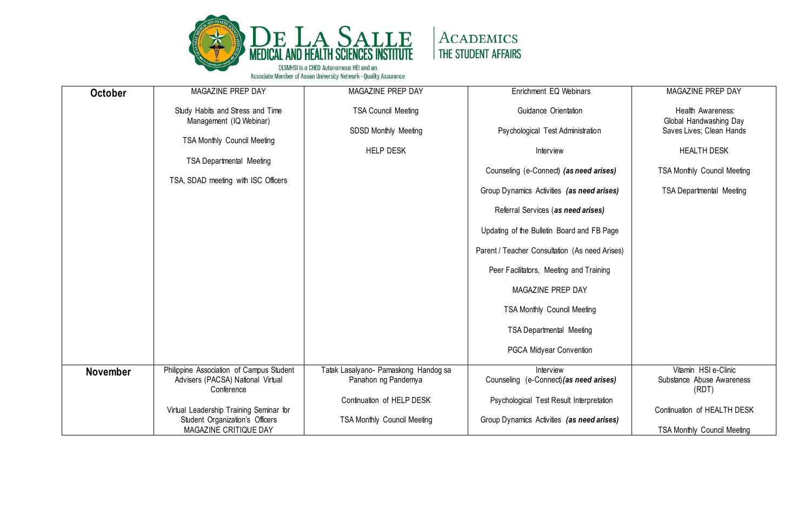

| <b>October</b>  | MAGAZINE PREP DAY                                                          | MAGAZINE PREP DAY                    | Enrichment EQ Webinars                         | MAGAZINE PREP DAY                  |
|-----------------|----------------------------------------------------------------------------|--------------------------------------|------------------------------------------------|------------------------------------|
|                 | Study Habits and Stress and Time                                           | <b>TSA Council Meeting</b>           | Guidance Orientation                           | Health Awareness:                  |
|                 | Management (IQ Webinar)                                                    |                                      |                                                | Global Handwashing Day             |
|                 | <b>TSA Monthly Council Meeting</b>                                         | SDSD Monthly Meeting                 | Psychological Test Administration              | Saves Lives; Clean Hands           |
|                 |                                                                            | <b>HELP DESK</b>                     | Interview                                      | <b>HEALTH DESK</b>                 |
|                 | <b>TSA Departmental Meeting</b>                                            |                                      | Counseling (e-Connect) (as need arises)        | <b>TSA Monthly Council Meeting</b> |
|                 | TSA, SDAD meeting with ISC Officers                                        |                                      |                                                |                                    |
|                 |                                                                            |                                      | Group Dynamics Activities (as need arises)     | <b>TSA Departmental Meeting</b>    |
|                 |                                                                            |                                      | Referral Services (as need arises)             |                                    |
|                 |                                                                            |                                      | Updating of the Bulletin Board and FB Page     |                                    |
|                 |                                                                            |                                      | Parent / Teacher Consultation (As need Arises) |                                    |
|                 |                                                                            |                                      | Peer Facilitators, Meeting and Training        |                                    |
|                 |                                                                            |                                      | MAGAZINE PREP DAY                              |                                    |
|                 |                                                                            |                                      | <b>TSA Monthly Council Meeting</b>             |                                    |
|                 |                                                                            |                                      | <b>TSA Departmental Meeting</b>                |                                    |
|                 |                                                                            |                                      | PGCA Midyear Convention                        |                                    |
| <b>November</b> | Philippine Association of Campus Student                                   | Tatak Lasalyano- Pamaskong Handog sa | Interview                                      | Vitamin HSI e-Clinic               |
|                 | Advisers (PACSA) National Virtual<br>Conference                            | Panahon ng Pandemya                  | Counseling (e-Connect) (as need arises)        | Substance Abuse Awareness<br>(RDT) |
|                 |                                                                            | Continuation of HELP DESK            | Psychological Test Result Interpretation       |                                    |
|                 | Virtual Leadership Training Seminar for<br>Student Organization's Officers | <b>TSA Monthly Council Meeting</b>   | Group Dynamics Activities (as need arises)     | Continuation of HEALTH DESK        |
|                 | MAGAZINE CRITIQUE DAY                                                      |                                      |                                                | <b>TSA Monthly Council Meeting</b> |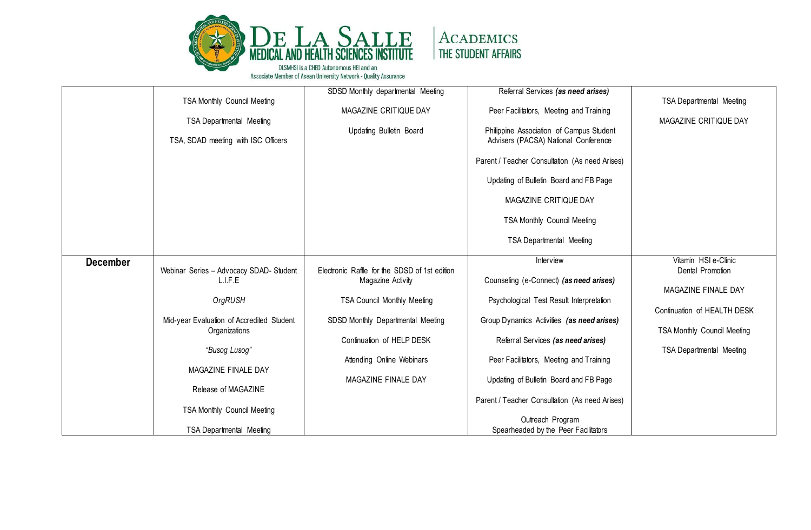

|                 |                                           | SDSD Monthly departmental Meeting             | Referral Services (as need arises)                                               |                                    |
|-----------------|-------------------------------------------|-----------------------------------------------|----------------------------------------------------------------------------------|------------------------------------|
|                 | TSA Monthly Council Meeting               |                                               |                                                                                  | <b>TSA Departmental Meeting</b>    |
|                 |                                           | MAGAZINE CRITIQUE DAY                         | Peer Facilitators, Meeting and Training                                          |                                    |
|                 |                                           |                                               |                                                                                  | MAGAZINE CRITIQUE DAY              |
|                 | <b>TSA Departmental Meeting</b>           |                                               |                                                                                  |                                    |
|                 | TSA, SDAD meeting with ISC Officers       | Updating Bulletin Board                       | Philippine Association of Campus Student<br>Advisers (PACSA) National Conference |                                    |
|                 |                                           |                                               | Parent / Teacher Consultation (As need Arises)                                   |                                    |
|                 |                                           |                                               | Updating of Bulletin Board and FB Page                                           |                                    |
|                 |                                           |                                               | MAGAZINE CRITIQUE DAY                                                            |                                    |
|                 |                                           |                                               | <b>TSA Monthly Council Meeting</b>                                               |                                    |
|                 |                                           |                                               | <b>TSA Departmental Meeting</b>                                                  |                                    |
| <b>December</b> |                                           |                                               | Interview                                                                        | Vitamin HSI e-Clinic               |
|                 | Webinar Series - Advocacy SDAD- Student   | Electronic Raffle for the SDSD of 1st edition |                                                                                  | Dental Promotion                   |
|                 | L.I.F.E                                   | Magazine Activity                             | Counseling (e-Connect) (as need arises)                                          |                                    |
|                 |                                           |                                               |                                                                                  | MAGAZINE FINALE DAY                |
|                 | OrgRUSH                                   | <b>TSA Council Monthly Meeting</b>            | Psychological Test Result Interpretation                                         |                                    |
|                 |                                           |                                               |                                                                                  | Continuation of HEALTH DESK        |
|                 |                                           |                                               |                                                                                  |                                    |
|                 | Mid-year Evaluation of Accredited Student | SDSD Monthly Departmental Meeting             | Group Dynamics Activities (as need arises)                                       |                                    |
|                 | Organizations                             |                                               |                                                                                  | <b>TSA Monthly Council Meeting</b> |
|                 |                                           | Continuation of HELP DESK                     | Referral Services (as need arises)                                               |                                    |
|                 | "Busog Lusog"                             |                                               |                                                                                  | <b>TSA Departmental Meeting</b>    |
|                 |                                           | Attending Online Webinars                     | Peer Facilitators, Meeting and Training                                          |                                    |
|                 | MAGAZINE FINALE DAY                       |                                               |                                                                                  |                                    |
|                 |                                           | MAGAZINE FINALE DAY                           | Updating of Bulletin Board and FB Page                                           |                                    |
|                 | Release of MAGAZINE                       |                                               |                                                                                  |                                    |
|                 |                                           |                                               | Parent / Teacher Consultation (As need Arises)                                   |                                    |
|                 | <b>TSA Monthly Council Meeting</b>        |                                               |                                                                                  |                                    |
|                 |                                           |                                               | Outreach Program                                                                 |                                    |
|                 | <b>TSA Departmental Meeting</b>           |                                               | Spearheaded by the Peer Facilitators                                             |                                    |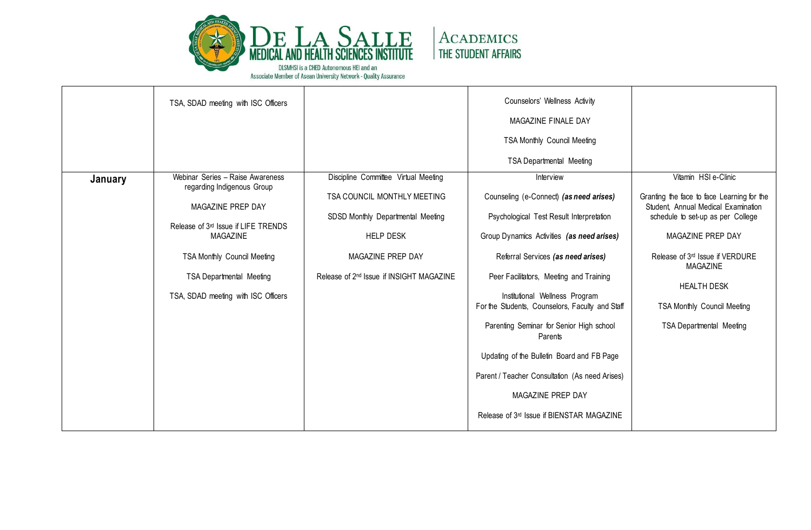

|         | TSA, SDAD meeting with ISC Officers                                                                                                                                                                                                                    |                                                                                                                                                                                                           | Counselors' Wellness Activity<br>MAGAZINE FINALE DAY<br><b>TSA Monthly Council Meeting</b><br><b>TSA Departmental Meeting</b>                                                                                                                                                                                                                                                                                                                                                                                                                             |                                                                                                                                                                                                                                                                                                                                      |
|---------|--------------------------------------------------------------------------------------------------------------------------------------------------------------------------------------------------------------------------------------------------------|-----------------------------------------------------------------------------------------------------------------------------------------------------------------------------------------------------------|-----------------------------------------------------------------------------------------------------------------------------------------------------------------------------------------------------------------------------------------------------------------------------------------------------------------------------------------------------------------------------------------------------------------------------------------------------------------------------------------------------------------------------------------------------------|--------------------------------------------------------------------------------------------------------------------------------------------------------------------------------------------------------------------------------------------------------------------------------------------------------------------------------------|
| January | Webinar Series - Raise Awareness<br>regarding Indigenous Group<br>MAGAZINE PREP DAY<br>Release of 3rd Issue if LIFE TRENDS<br>MAGAZINE<br><b>TSA Monthly Council Meeting</b><br><b>TSA Departmental Meeting</b><br>TSA, SDAD meeting with ISC Officers | Discipline Committee Virtual Meeting<br>TSA COUNCIL MONTHLY MEETING<br>SDSD Monthly Departmental Meeting<br><b>HELP DESK</b><br>MAGAZINE PREP DAY<br>Release of 2 <sup>nd</sup> Issue if INSIGHT MAGAZINE | Interview<br>Counseling (e-Connect) (as need arises)<br>Psychological Test Result Interpretation<br>Group Dynamics Activities (as need arises)<br>Referral Services (as need arises)<br>Peer Facilitators, Meeting and Training<br>Institutional Wellness Program<br>For the Students, Counselors, Faculty and Staff<br>Parenting Seminar for Senior High school<br>Parents<br>Updating of the Bulletin Board and FB Page<br>Parent / Teacher Consultation (As need Arises)<br>MAGAZINE PREP DAY<br>Release of 3 <sup>rd</sup> Issue if BIENSTAR MAGAZINE | Vitamin HSI e-Clinic<br>Granting the face to face Learning for the<br>Student, Annual Medical Examination<br>schedule to set-up as per College<br>MAGAZINE PREP DAY<br>Release of 3 <sup>rd</sup> Issue if VERDURE<br><b>MAGAZINE</b><br><b>HEALTH DESK</b><br><b>TSA Monthly Council Meeting</b><br><b>TSA Departmental Meeting</b> |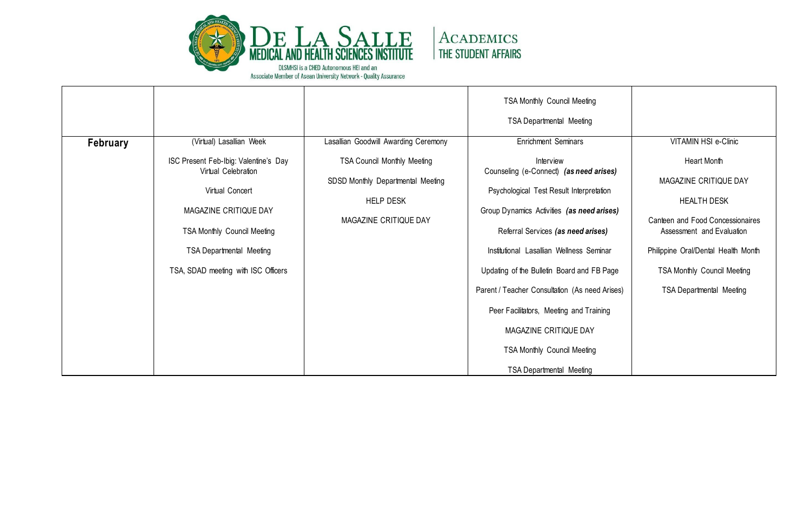

| February | (Virtual) Lasallian Week                                                                                                                                                                                                 | Lasallian Goodwill Awarding Ceremony                                                                                 | <b>TSA Monthly Council Meeting</b><br><b>TSA Departmental Meeting</b><br>Enrichment Seminars                                                                                                                                                                                                                                                                                                                                                                                  | VITAMIN HSI e-Clinic                                                                                                                                                                                                                        |
|----------|--------------------------------------------------------------------------------------------------------------------------------------------------------------------------------------------------------------------------|----------------------------------------------------------------------------------------------------------------------|-------------------------------------------------------------------------------------------------------------------------------------------------------------------------------------------------------------------------------------------------------------------------------------------------------------------------------------------------------------------------------------------------------------------------------------------------------------------------------|---------------------------------------------------------------------------------------------------------------------------------------------------------------------------------------------------------------------------------------------|
|          | ISC Present Feb-Ibig: Valentine's Day<br>Virtual Celebration<br>Virtual Concert<br>MAGAZINE CRITIQUE DAY<br><b>TSA Monthly Council Meeting</b><br><b>TSA Departmental Meeting</b><br>TSA, SDAD meeting with ISC Officers | <b>TSA Council Monthly Meeting</b><br>SDSD Monthly Departmental Meeting<br><b>HELP DESK</b><br>MAGAZINE CRITIQUE DAY | Interview<br>Counseling (e-Connect) (as need arises)<br>Psychological Test Result Interpretation<br>Group Dynamics Activities (as need arises)<br>Referral Services (as need arises)<br>Institutional Lasallian Wellness Seminar<br>Updating of the Bulletin Board and FB Page<br>Parent / Teacher Consultation (As need Arises)<br>Peer Facilitators, Meeting and Training<br>MAGAZINE CRITIQUE DAY<br><b>TSA Monthly Council Meeting</b><br><b>TSA Departmental Meeting</b> | Heart Month<br>MAGAZINE CRITIQUE DAY<br><b>HEALTH DESK</b><br>Canteen and Food Concessionaires<br>Assessment and Evaluation<br>Philippine Oral/Dental Health Month<br><b>TSA Monthly Council Meeting</b><br><b>TSA Departmental Meeting</b> |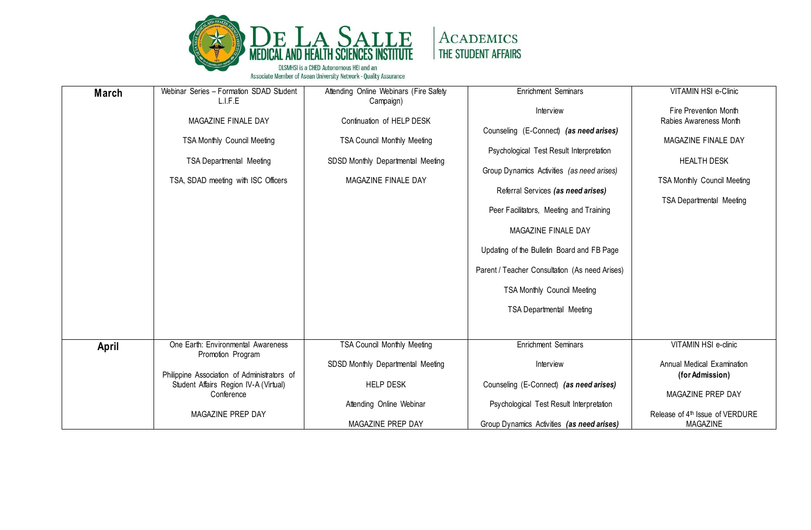

| March | Webinar Series - Formation SDAD Student<br>L.I.F.E                                                    | Attending Online Webinars (Fire Safety<br>Campaign)                                            | <b>Enrichment Seminars</b>                                                                                                                                              | VITAMIN HSI e-Clinic                                                                                               |
|-------|-------------------------------------------------------------------------------------------------------|------------------------------------------------------------------------------------------------|-------------------------------------------------------------------------------------------------------------------------------------------------------------------------|--------------------------------------------------------------------------------------------------------------------|
|       |                                                                                                       |                                                                                                | Interview                                                                                                                                                               | Fire Prevention Month                                                                                              |
|       | MAGAZINE FINALE DAY                                                                                   | Continuation of HELP DESK                                                                      |                                                                                                                                                                         | Rabies Awareness Month                                                                                             |
|       | TSA Monthly Council Meeting<br><b>TSA Departmental Meeting</b><br>TSA, SDAD meeting with ISC Officers | <b>TSA Council Monthly Meeting</b><br>SDSD Monthly Departmental Meeting<br>MAGAZINE FINALE DAY | Counseling (E-Connect) (as need arises)<br>Psychological Test Result Interpretation<br>Group Dynamics Activities (as need arises)<br>Referral Services (as need arises) | MAGAZINE FINALE DAY<br><b>HEALTH DESK</b><br><b>TSA Monthly Council Meeting</b><br><b>TSA Departmental Meeting</b> |
|       |                                                                                                       |                                                                                                | Peer Facilitators, Meeting and Training                                                                                                                                 |                                                                                                                    |
|       |                                                                                                       |                                                                                                | MAGAZINE FINALE DAY                                                                                                                                                     |                                                                                                                    |
|       |                                                                                                       |                                                                                                | Updating of the Bulletin Board and FB Page                                                                                                                              |                                                                                                                    |
|       |                                                                                                       |                                                                                                | Parent / Teacher Consultation (As need Arises)                                                                                                                          |                                                                                                                    |
|       |                                                                                                       |                                                                                                | <b>TSA Monthly Council Meeting</b>                                                                                                                                      |                                                                                                                    |
|       |                                                                                                       |                                                                                                | <b>TSA Departmental Meeting</b>                                                                                                                                         |                                                                                                                    |
|       |                                                                                                       |                                                                                                |                                                                                                                                                                         |                                                                                                                    |
| April | One Earth: Environmental Awareness<br>Promotion Program                                               | <b>TSA Council Monthly Meeting</b>                                                             | <b>Enrichment Seminars</b>                                                                                                                                              | VITAMIN HSI e-clinic                                                                                               |
|       |                                                                                                       | SDSD Monthly Departmental Meeting                                                              | Interview                                                                                                                                                               | Annual Medical Examination                                                                                         |
|       | Philippine Association of Administrators of                                                           |                                                                                                |                                                                                                                                                                         | (for Admission)                                                                                                    |
|       | Student Affairs Region IV-A (Virtual)<br>Conference                                                   | <b>HELP DESK</b>                                                                               | Counseling (E-Connect) (as need arises)                                                                                                                                 | MAGAZINE PREP DAY                                                                                                  |
|       |                                                                                                       | Attending Online Webinar                                                                       | Psychological Test Result Interpretation                                                                                                                                |                                                                                                                    |
|       | MAGAZINE PREP DAY                                                                                     |                                                                                                |                                                                                                                                                                         | Release of 4th Issue of VERDURE                                                                                    |
|       |                                                                                                       | MAGAZINE PREP DAY                                                                              | Group Dynamics Activities (as need arises)                                                                                                                              | <b>MAGAZINE</b>                                                                                                    |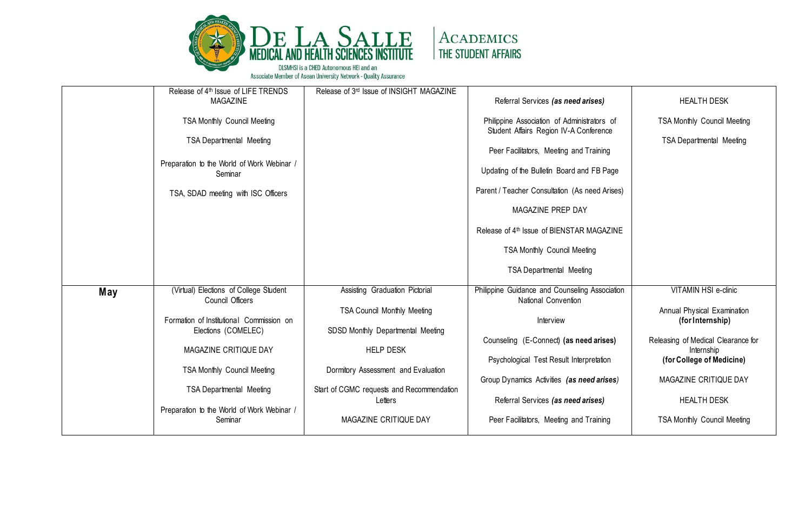

|     | Release of 4 <sup>th</sup> Issue of LIFE TRENDS<br><b>MAGAZINE</b> | Release of 3rd Issue of INSIGHT MAGAZINE                                | Referral Services (as need arises)                                                    | <b>HEALTH DESK</b>                               |
|-----|--------------------------------------------------------------------|-------------------------------------------------------------------------|---------------------------------------------------------------------------------------|--------------------------------------------------|
|     | TSA Monthly Council Meeting                                        |                                                                         | Philippine Association of Administrators of<br>Student Affairs Region IV-A Conference | <b>TSA Monthly Council Meeting</b>               |
|     | <b>TSA Departmental Meeting</b>                                    |                                                                         | Peer Facilitators, Meeting and Training                                               | <b>TSA Departmental Meeting</b>                  |
|     | Preparation to the World of Work Webinar /<br>Seminar              |                                                                         | Updating of the Bulletin Board and FB Page                                            |                                                  |
|     | TSA, SDAD meeting with ISC Officers                                |                                                                         | Parent / Teacher Consultation (As need Arises)                                        |                                                  |
|     |                                                                    |                                                                         | MAGAZINE PREP DAY                                                                     |                                                  |
|     |                                                                    |                                                                         | Release of 4th Issue of BIENSTAR MAGAZINE                                             |                                                  |
|     |                                                                    |                                                                         | <b>TSA Monthly Council Meeting</b>                                                    |                                                  |
|     |                                                                    |                                                                         | <b>TSA Departmental Meeting</b>                                                       |                                                  |
| May | (Virtual) Elections of College Student<br>Council Officers         | Assisting Graduation Pictorial                                          | Philippine Guidance and Counseling Association<br>National Convention                 | <b>VITAMIN HSI e-clinic</b>                      |
|     | Formation of Institutional Commission on<br>Elections (COMELEC)    | <b>TSA Council Monthly Meeting</b><br>SDSD Monthly Departmental Meeting | Interview                                                                             | Annual Physical Examination<br>(for Internship)  |
|     | MAGAZINE CRITIQUE DAY                                              | <b>HELP DESK</b>                                                        | Counseling (E-Connect) (as need arises)                                               | Releasing of Medical Clearance for<br>Internship |
|     | TSA Monthly Council Meeting                                        | Dormitory Assessment and Evaluation                                     | Psychological Test Result Interpretation                                              | (for College of Medicine)                        |
|     | <b>TSA Departmental Meeting</b>                                    | Start of CGMC requests and Recommendation                               | Group Dynamics Activities (as need arises)                                            | MAGAZINE CRITIQUE DAY                            |
|     |                                                                    | Letters                                                                 | Referral Services (as need arises)                                                    | <b>HEALTH DESK</b>                               |
|     | Preparation to the World of Work Webinar /<br>Seminar              | MAGAZINE CRITIQUE DAY                                                   | Peer Facilitators, Meeting and Training                                               | <b>TSA Monthly Council Meeting</b>               |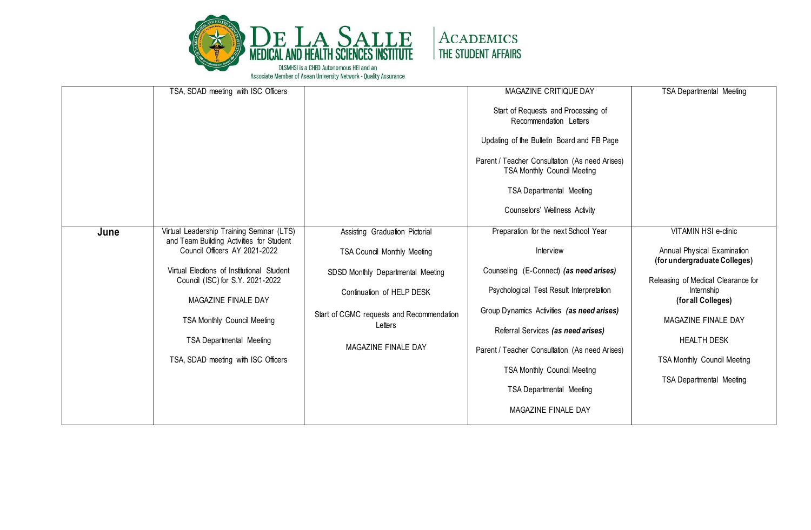

|      | TSA, SDAD meeting with ISC Officers                                            |                                           | MAGAZINE CRITIQUE DAY                                                                | <b>TSA Departmental Meeting</b>                             |
|------|--------------------------------------------------------------------------------|-------------------------------------------|--------------------------------------------------------------------------------------|-------------------------------------------------------------|
|      |                                                                                |                                           | Start of Requests and Processing of<br>Recommendation Letters                        |                                                             |
|      |                                                                                |                                           | Updating of the Bulletin Board and FB Page                                           |                                                             |
|      |                                                                                |                                           | Parent / Teacher Consultation (As need Arises)<br><b>TSA Monthly Council Meeting</b> |                                                             |
|      |                                                                                |                                           | <b>TSA Departmental Meeting</b>                                                      |                                                             |
|      |                                                                                |                                           | Counselors' Wellness Activity                                                        |                                                             |
| June | Virtual Leadership Training Seminar (LTS)                                      | Assisting Graduation Pictorial            | Preparation for the next School Year                                                 | VITAMIN HSI e-clinic                                        |
|      | and Team Building Activities for Student<br>Council Officers AY 2021-2022      | <b>TSA Council Monthly Meeting</b>        | Interview                                                                            | Annual Physical Examination<br>(for undergraduate Colleges) |
|      | Virtual Elections of Institutional Student<br>Council (ISC) for S.Y. 2021-2022 | SDSD Monthly Departmental Meeting         | Counseling (E-Connect) (as need arises)                                              | Releasing of Medical Clearance for                          |
|      | MAGAZINE FINALE DAY                                                            | Continuation of HELP DESK                 | Psychological Test Result Interpretation                                             | Internship<br>(for all Colleges)                            |
|      | <b>TSA Monthly Council Meeting</b>                                             | Start of CGMC requests and Recommendation | Group Dynamics Activities (as need arises)                                           | MAGAZINE FINALE DAY                                         |
|      | <b>TSA Departmental Meeting</b>                                                | Letters                                   | Referral Services (as need arises)                                                   | <b>HEALTH DESK</b>                                          |
|      | TSA, SDAD meeting with ISC Officers                                            | MAGAZINE FINALE DAY                       | Parent / Teacher Consultation (As need Arises)                                       | <b>TSA Monthly Council Meeting</b>                          |
|      |                                                                                |                                           | <b>TSA Monthly Council Meeting</b>                                                   |                                                             |
|      |                                                                                |                                           | <b>TSA Departmental Meeting</b>                                                      | <b>TSA Departmental Meeting</b>                             |
|      |                                                                                |                                           | MAGAZINE FINALE DAY                                                                  |                                                             |